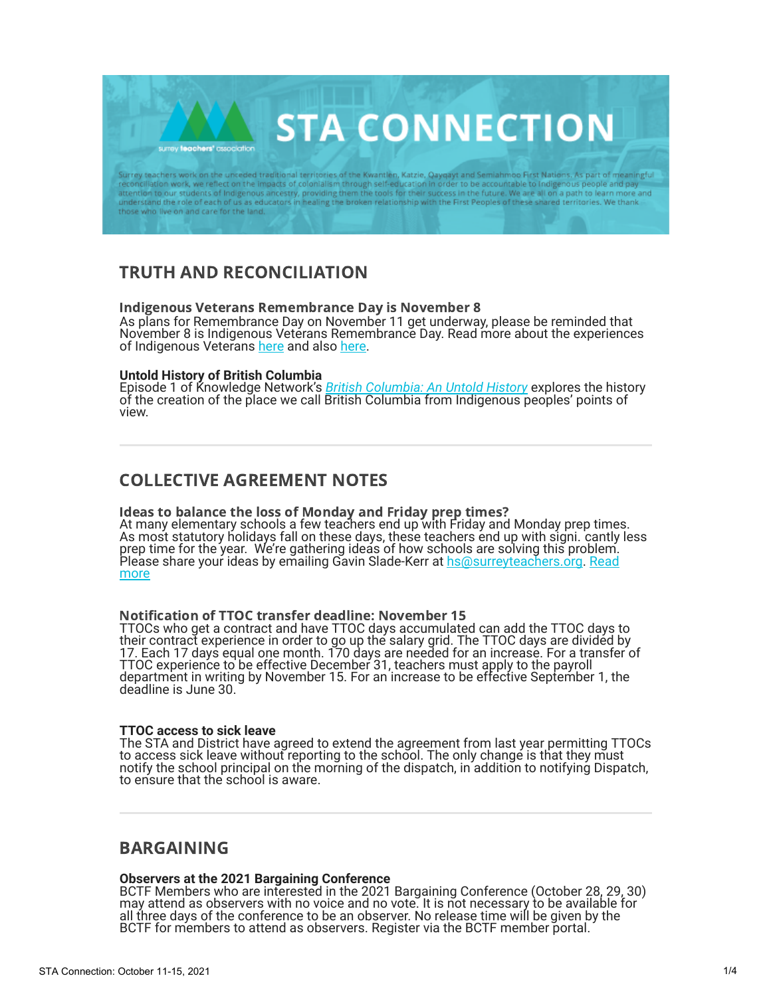Surrey teachers work on the unceded traditional territories of the Kwantlen, Katzie, Qayqayt and Semiahmoo First Nations. As part of meaningful<br>reconciliation work, we reflect on the impacts of colonialism through self-edu understand the role of each of us as educators in healing the broken relationship with the First Peoples of these shared territories. We thank those who live on and care for the land.

**STA CONNECTION** 

# TRUTH AND RECONCILIATION

## Indigenous Veterans Remembrance Day is November 8

As plans for Remembrance Day on November 11 get underway, please be reminded that November 8 is Indigenous Veterans Remembrance Day. Read more about the experiences of Indigenous Veterans [here](https://www.ctvnews.ca/canada/only-equal-on-the-battlefield-efforts-underway-to-honour-indigenous-veterans-1.4168236) and also [here.](https://www.rcaanc-cirnac.gc.ca/eng/1605286948270/1605287188462)

### **Untold History of British Columbia**

surrey teachers' association

Episode 1 of Knowledge Network's *[British Columbia: An Untold History](https://www.knowledge.ca/program/british-columbia-untold-history/e1/change-resistance)* explores the history of the creation of the place we call British Columbia from Indigenous peoples' points of view.

## COLLECTIVE AGREEMENT NOTES

## Ideas to balance the loss of Monday and Friday prep times?

At many elementary schools a few teachers end up with Friday and Monday prep times. As most statutory holidays fall on these days, these teachers end up with signi. cantly less prep time for the year. We're gathering ideas of how schools are solving this problem. Please share your ideas by emailing Gavin Slade-Kerr at [hs@surreyteachers.org.](mailto:hs@surreyteachers.org) [Read](https://www.surreyteachers.org/uncategorized/ideas-to-balance-the-loss-of-monday-and-friday-prep-times/) [more](https://www.surreyteachers.org/uncategorized/ideas-to-balance-the-loss-of-monday-and-friday-prep-times/)

#### Notification of TTOC transfer deadline: November 15

TTOCs who get a contract and have TTOC days accumulated can add the TTOC days to their contract experience in order to go up the salary grid. The TTOC days are divided by 17. Each 17 days equal one month. 170 days are needed for an increase. For a transfer of TTOC experience to be effective December 31, teachers must apply to the payroll department in writing by November 15. For an increase to be effective September 1, the deadline is June 30.

### **TTOC access to sick leave**

The STA and District have agreed to extend the agreement from last year permitting TTOCs to access sick leave without reporting to the school. The only change is that they must notify the school principal on the morning of the dispatch, in addition to notifying Dispatch, to ensure that the school is aware.

## BARGAINING

## **Observers at the 2021 Bargaining Conference**

BCTF Members who are interested in the 2021 Bargaining Conference (October 28, 29, 30) may attend as observers with no voice and no vote. It is not necessary to be available for all three days of the conference to be an observer. No release time will be given by the BCTF for members to attend as observers. Register via the BCTF member portal.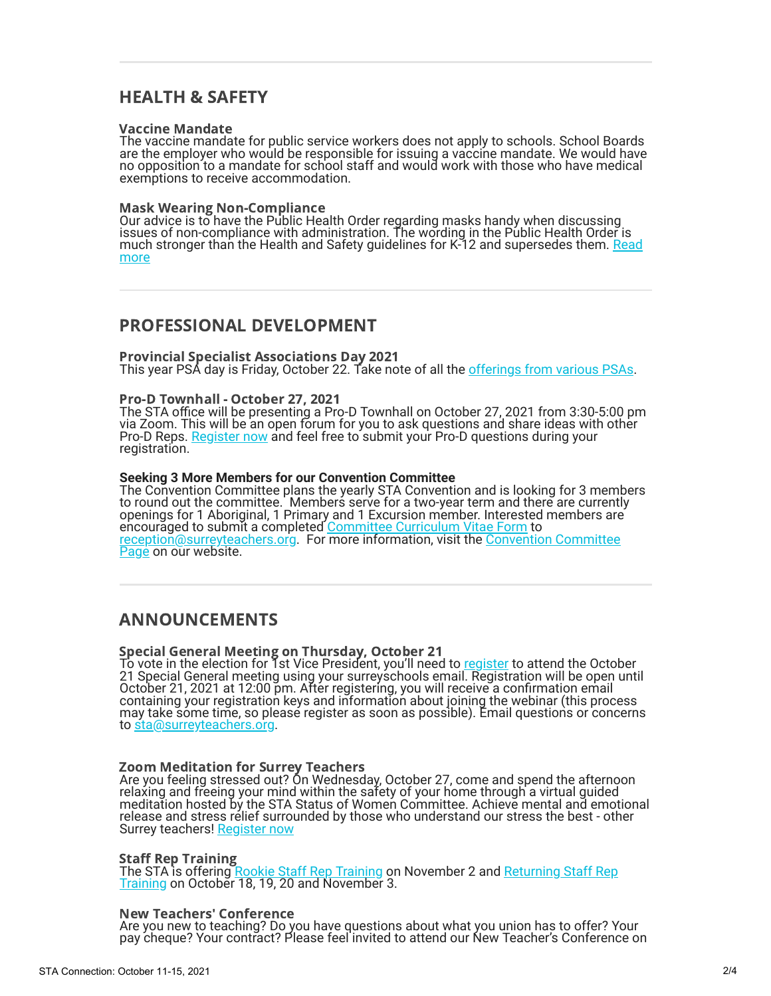## HEALTH & SAFETY

#### Vaccine Mandate

The vaccine mandate for public service workers does not apply to schools. School Boards are the employer who would be responsible for issuing a vaccine mandate. We would have no opposition to a mandate for school staff and would work with those who have medical exemptions to receive accommodation.

#### Mask Wearing Non-Compliance

Our advice is to have the Public Health Order regarding masks handy when discussing issues of non-compliance with administration. The wording in the Public Health Order is much stronger than the Health and Safety guidelines for K-12 and supersedes them. <u>Read</u> more

## PROFESSIONAL DEVELOPMENT

Provincial Specialist Associations Day 2021 This year PSA day is Friday, October 22. Take note of all the [offerings from various PSAs.](http://www.psaday.ca/)

## Pro-D Townhall - October 27, 2021

The STA office will be presenting a Pro-D Townhall on October 27, 2021 from 3:30-5:00 pm via Zoom. This will be an open forum for you to ask questions and share ideas with other Pro-D Reps. [Register now](https://docs.google.com/forms/d/e/1FAIpQLSdjrSN90QRjtuSrQJ2xGEPzFvoCDAYB8MVD5E0IMwcjlxeM-A/viewform) and feel free to submit your Pro-D questions during your registration.

### **Seeking 3 More Members for our Convention Committee**

The Convention Committee plans the yearly STA Convention and is looking for 3 members to round out the committee. Members serve for a two-year term and there are currently openings for 1 Aboriginal, 1 Primary and 1 Excursion member. Interested members are encouraged to submit a completed [Committee Curriculum Vitae Form](https://www.surreyteachers.org/wp-content/uploads/2019/09/STA-CMT-CV-Form-2019.09.20.pdf) to [reception@surreyteachers.org](mailto:reception@surreyteachers.org). For more information, visit the [Convention Committee](https://www.surreyteachers.org/features/convention-committee/) [Page](https://www.surreyteachers.org/features/convention-committee/) on our website.

## ANNOUNCEMENTS

### Special General Meeting on Thursday, October 21

To vote in the election for Tst Vice President, you'll need to <u>[register](https://bit.ly/STARAlinks)</u> to attend the October 21 Special General meeting using your surreyschools email. Registration will be open until October 21, 2021 at 12:00 pm. After registering, you will receive a confirmation email containing your registration keys and information about joining the webinar (this process may take some time, so please register as soon as possible). Email questions or concerns to [sta@surreyteachers.org](mailto:sta@surreyteachers.org).

#### Zoom Meditation for Surrey Teachers

Are you feeling stressed out? On Wednesday, October 27, come and spend the afternoon relaxing and freeing your mind within the safety of your home through a virtual guided meditation hosted by the STA Status of Women Committee. Achieve mental and emotional release and stress relief surrounded by those who understand our stress the best - other Surrey teachers! [Register now](https://docs.google.com/forms/d/e/1FAIpQLSdX2jd4K6mWMidh1nXP10i-dyZ1L9gdChiyjhA8DY4-9DiOqA/viewform)

#### Staff Rep Training

The STA is offering <u>Rookie Staff Rep Training</u> on November 2 and <u>Returning Staff Rep</u> [Training](https://surt-fall2021.eventbrite.ca/) on October 18, 19, 20 and November 3.

#### New Teachers' Conference

Are you new to teaching? Do you have questions about what you union has to offer? Your pay cheque? Your contract? Please feel invited to attend our New Teacher's Conference on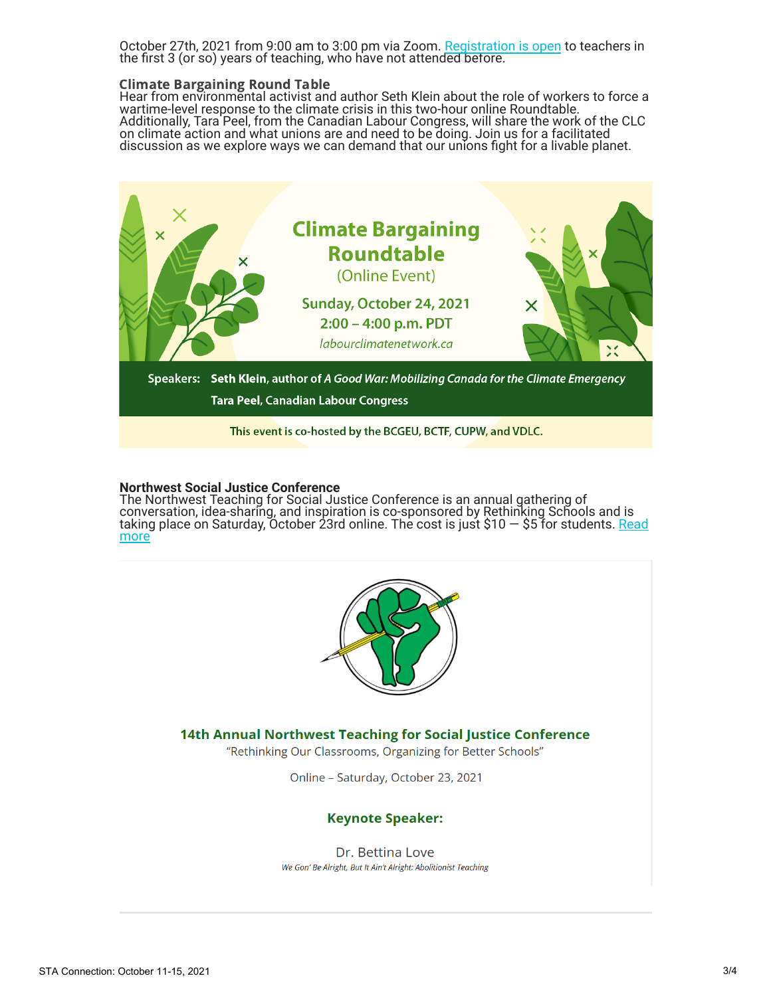October 27th, 2021 from 9:00 am to 3:00 pm via Zoom. [Registration is open](https://ntc-oct27-21.eventbrite.ca/) to teachers in the first 3 (or so) years of teaching, who have not attended before.

### Climate Bargaining Round Table

Hear from environmental activist and author Seth Klein about the role of workers to force a wartime-level response to the climate crisis in this two-hour online Roundtable. Additionally, Tara Peel, from the Canadian Labour Congress, will share the work of the CLC on climate action and what unions are and need to be doing. Join us for a facilitated discussion as we explore ways we can demand that our unions fight for a livable planet.



### **Northwest Social Justice Conference**

The Northwest Teaching for Social Justice Conference is an annual gathering of conversation, idea-sharing, and inspiration is co-sponsored by Rethinking Schools and is taking place on Saturday, October 23rd online. The cost is just \$10 — \$5 for students. <u>Read</u> more



## 14th Annual Northwest Teaching for Social Justice Conference

"Rethinking Our Classrooms, Organizing for Better Schools"

Online - Saturday, October 23, 2021

## **Keynote Speaker:**

Dr. Bettina Love We Gon' Be Alright, But It Ain't Alright: Abolitionist Teaching